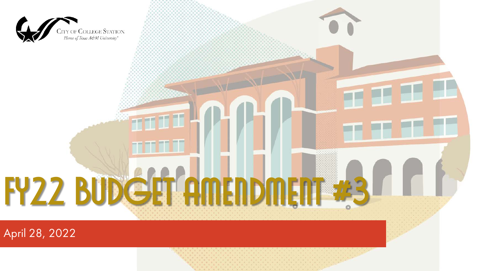

April 28, 2022

**FY22 Budget Amendment #3**

**SEPT 17 75** 

er er er af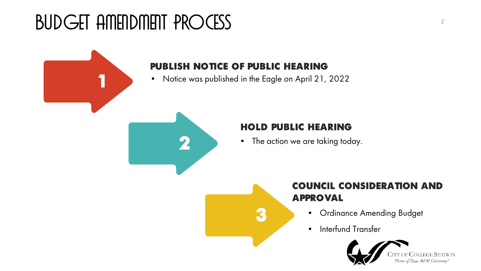# Budget Amendment Process



### **PUBLISH NOTICE OF PUBLIC HEARING**

• Notice was published in the Eagle on April 21, 2022

**3**



#### **HOLD PUBLIC HEARING**

• The action we are taking today.

## **COUNCIL CONSIDERATION AND APPROVAL**

- Ordinance Amending Budget
- Interfund Transfer



Home of Texas A&M University'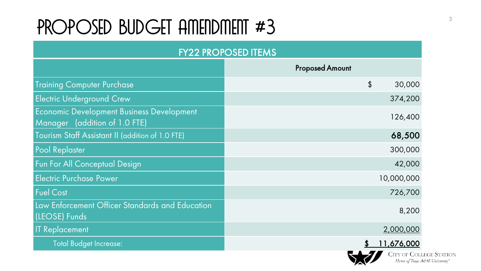# PROPOSED BUDGET AMENDMENT #3

| <b>FY22 PROPOSED ITEMS</b>                                                        |                        |  |  |
|-----------------------------------------------------------------------------------|------------------------|--|--|
|                                                                                   | <b>Proposed Amount</b> |  |  |
| <b>Training Computer Purchase</b>                                                 | \$<br>30,000           |  |  |
| <b>Electric Underground Crew</b>                                                  | 374,200                |  |  |
| <b>Economic Development Business Development</b><br>Manager (addition of 1.0 FTE) | 126,400                |  |  |
| Tourism Staff Assistant II (addition of 1.0 FTE)                                  | 68,500                 |  |  |
| <b>Pool Replaster</b>                                                             | 300,000                |  |  |
| <b>Fun For All Conceptual Design</b>                                              | 42,000                 |  |  |
| <b>Electric Purchase Power</b>                                                    | 10,000,000             |  |  |
| <b>Fuel Cost</b>                                                                  | 726,700                |  |  |
| Law Enforcement Officer Standards and Education<br>(LEOSE) Funds                  | 8,200                  |  |  |
| <b>IT Replacement</b>                                                             | 2,000,000              |  |  |
| Total Budget Increase:                                                            | 11,676,000             |  |  |
|                                                                                   | CITY OF COLLE          |  |  |

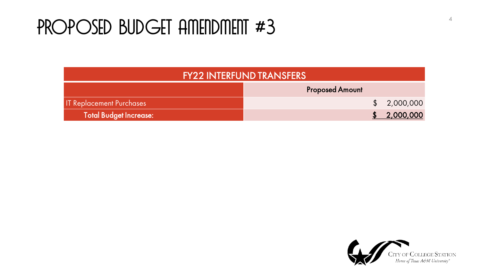## PROPOSED BUDGET AMENDMENT #3

| <b>FY22 INTERFUND TRANSFERS</b> |                        |  |             |
|---------------------------------|------------------------|--|-------------|
|                                 | <b>Proposed Amount</b> |  |             |
| <b>IT Replacement Purchases</b> |                        |  | \$2,000,000 |
| Total Budget Increase:          |                        |  | 2,000,000   |